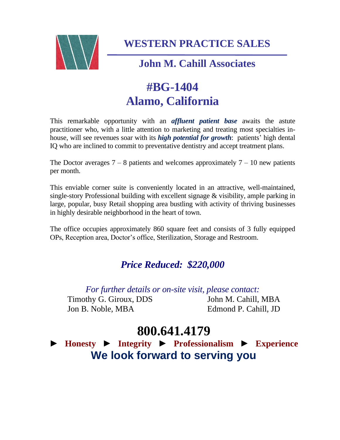

**WESTERN PRACTICE SALES**

### **John M. Cahill Associates**

# **#BG-1404 Alamo, California**

This remarkable opportunity with an *affluent patient base* awaits the astute practitioner who, with a little attention to marketing and treating most specialties inhouse, will see revenues soar with its *high potential for growth*: patients' high dental IQ who are inclined to commit to preventative dentistry and accept treatment plans.

The Doctor averages  $7 - 8$  patients and welcomes approximately  $7 - 10$  new patients per month.

This enviable corner suite is conveniently located in an attractive, well-maintained, single-story Professional building with excellent signage & visibility, ample parking in large, popular, busy Retail shopping area bustling with activity of thriving businesses in highly desirable neighborhood in the heart of town.

The office occupies approximately 860 square feet and consists of 3 fully equipped OPs, Reception area, Doctor's office, Sterilization, Storage and Restroom.

### *Price Reduced: \$220,000*

*For further details or on-site visit, please contact:* Timothy G. Giroux, DDS John M. Cahill, MBA Jon B. Noble, MBA Edmond P. Cahill, JD

## **800.641.4179**

► **Honesty** ► **Integrity** ► **Professionalism** ► **Experience We look forward to serving you**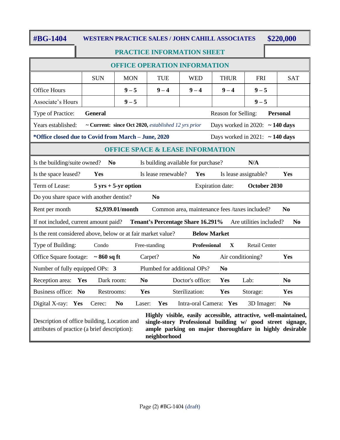#### **#BG-1404 WESTERN PRACTICE SALES / JOHN CAHILL ASSOCIATES \$220,000**

#### **PRACTICE INFORMATION SHEET**

| <b>OFFICE OPERATION INFORMATION</b>                                                                                                                                                                                                                                                                       |                                                                                             |                          |                     |                                                |              |                                      |                |  |
|-----------------------------------------------------------------------------------------------------------------------------------------------------------------------------------------------------------------------------------------------------------------------------------------------------------|---------------------------------------------------------------------------------------------|--------------------------|---------------------|------------------------------------------------|--------------|--------------------------------------|----------------|--|
|                                                                                                                                                                                                                                                                                                           | <b>SUN</b>                                                                                  | <b>MON</b>               | <b>TUE</b>          | <b>WED</b>                                     | <b>THUR</b>  | <b>FRI</b>                           | <b>SAT</b>     |  |
| Office Hours                                                                                                                                                                                                                                                                                              |                                                                                             | $9 - 5$                  | $9 - 4$             | $9 - 4$                                        | $9 - 4$      | $9 - 5$                              |                |  |
| Associate's Hours                                                                                                                                                                                                                                                                                         |                                                                                             | $9 - 5$                  |                     |                                                |              | $9 - 5$                              |                |  |
| Type of Practice:                                                                                                                                                                                                                                                                                         | <b>General</b><br><b>Personal</b><br>Reason for Selling:                                    |                          |                     |                                                |              |                                      |                |  |
| Years established:                                                                                                                                                                                                                                                                                        | ~ Current: since Oct 2020, established 12 yrs prior<br>Days worked in 2020: $\sim$ 140 days |                          |                     |                                                |              |                                      |                |  |
| *Office closed due to Covid from March - June, 2020                                                                                                                                                                                                                                                       |                                                                                             |                          |                     |                                                |              | Days worked in 2021: $\sim$ 140 days |                |  |
| <b>OFFICE SPACE &amp; LEASE INFORMATION</b>                                                                                                                                                                                                                                                               |                                                                                             |                          |                     |                                                |              |                                      |                |  |
| Is the building/suite owned?<br>N <sub>0</sub><br>N/A<br>Is building available for purchase?                                                                                                                                                                                                              |                                                                                             |                          |                     |                                                |              |                                      |                |  |
| Is the space leased?                                                                                                                                                                                                                                                                                      | Yes                                                                                         |                          | Is lease renewable? | Yes                                            |              | Is lease assignable?                 | Yes            |  |
| Term of Lease:<br>$5 \text{ yrs} + 5\text{-yr option}$<br><b>Expiration date:</b><br>October 2030                                                                                                                                                                                                         |                                                                                             |                          |                     |                                                |              |                                      |                |  |
| Do you share space with another dentist?<br>N <sub>0</sub>                                                                                                                                                                                                                                                |                                                                                             |                          |                     |                                                |              |                                      |                |  |
| Rent per month                                                                                                                                                                                                                                                                                            |                                                                                             | \$2,939.01/month         |                     | Common area, maintenance fees /taxes included? |              |                                      | N <sub>0</sub> |  |
| If not included, current amount paid?<br><b>Tenant's Percentage Share 16.291%</b><br>Are utilities included?<br>N <sub>0</sub>                                                                                                                                                                            |                                                                                             |                          |                     |                                                |              |                                      |                |  |
| Is the rent considered above, below or at fair market value?<br><b>Below Market</b>                                                                                                                                                                                                                       |                                                                                             |                          |                     |                                                |              |                                      |                |  |
| Type of Building:                                                                                                                                                                                                                                                                                         | Condo                                                                                       |                          | Free-standing       | <b>Professional</b>                            | $\mathbf{X}$ | <b>Retail Center</b>                 |                |  |
| Office Square footage:                                                                                                                                                                                                                                                                                    | $\sim$ 860 sq ft                                                                            |                          | Carpet?             | N <sub>0</sub>                                 |              | Air conditioning?                    | Yes            |  |
| Plumbed for additional OPs?<br>Number of fully equipped OPs: 3<br>N <sub>0</sub>                                                                                                                                                                                                                          |                                                                                             |                          |                     |                                                |              |                                      |                |  |
| Reception area:                                                                                                                                                                                                                                                                                           | Yes<br>Dark room:                                                                           | N <sub>0</sub>           |                     | Doctor's office:                               | Yes          | Lab:                                 | N <sub>0</sub> |  |
| Business office: No                                                                                                                                                                                                                                                                                       | Restrooms:                                                                                  |                          | Yes                 | Sterilization:                                 | <b>Yes</b>   | Storage:                             | Yes            |  |
| Digital X-ray: Yes                                                                                                                                                                                                                                                                                        | Cerec:                                                                                      | N <sub>0</sub><br>Laser: | Yes                 | Intra-oral Camera: Yes                         |              | 3D Imager:                           | N <sub>0</sub> |  |
| Highly visible, easily accessible, attractive, well-maintained,<br>Description of office building, Location and<br>single-story Professional building w/ good street signage,<br>ample parking on major thoroughfare in highly desirable<br>attributes of practice (a brief description):<br>neighborhood |                                                                                             |                          |                     |                                                |              |                                      |                |  |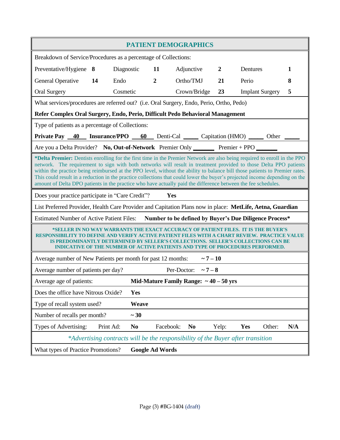| <b>PATIENT DEMOGRAPHICS</b>                                                                                                                                                                                                                                                                                                                                                                                                                                                                                                                                                                                                                                                              |                        |                  |                                             |                  |                        |     |  |
|------------------------------------------------------------------------------------------------------------------------------------------------------------------------------------------------------------------------------------------------------------------------------------------------------------------------------------------------------------------------------------------------------------------------------------------------------------------------------------------------------------------------------------------------------------------------------------------------------------------------------------------------------------------------------------------|------------------------|------------------|---------------------------------------------|------------------|------------------------|-----|--|
| Breakdown of Service/Procedures as a percentage of Collections:                                                                                                                                                                                                                                                                                                                                                                                                                                                                                                                                                                                                                          |                        |                  |                                             |                  |                        |     |  |
| Preventative/Hygiene 8                                                                                                                                                                                                                                                                                                                                                                                                                                                                                                                                                                                                                                                                   | Diagnostic             | 11               | Adjunctive                                  | $\boldsymbol{2}$ | Dentures               | 1   |  |
| <b>General Operative</b><br>14                                                                                                                                                                                                                                                                                                                                                                                                                                                                                                                                                                                                                                                           | Endo                   | $\boldsymbol{2}$ | Ortho/TMJ                                   | 21               | Perio                  | 8   |  |
| <b>Oral Surgery</b>                                                                                                                                                                                                                                                                                                                                                                                                                                                                                                                                                                                                                                                                      | Cosmetic               |                  | Crown/Bridge                                | 23               | <b>Implant Surgery</b> | 5   |  |
| What services/procedures are referred out? (i.e. Oral Surgery, Endo, Perio, Ortho, Pedo)                                                                                                                                                                                                                                                                                                                                                                                                                                                                                                                                                                                                 |                        |                  |                                             |                  |                        |     |  |
| Refer Complex Oral Surgery, Endo, Perio, Difficult Pedo Behavioral Management                                                                                                                                                                                                                                                                                                                                                                                                                                                                                                                                                                                                            |                        |                  |                                             |                  |                        |     |  |
| Type of patients as a percentage of Collections:                                                                                                                                                                                                                                                                                                                                                                                                                                                                                                                                                                                                                                         |                        |                  |                                             |                  |                        |     |  |
| Private Pay 40 Insurance/PPO 60 Denti-Cal Capitation (HMO) 0ther 100                                                                                                                                                                                                                                                                                                                                                                                                                                                                                                                                                                                                                     |                        |                  |                                             |                  |                        |     |  |
| Are you a Delta Provider? No, Out-of-Network Premier Only Premier + PPO                                                                                                                                                                                                                                                                                                                                                                                                                                                                                                                                                                                                                  |                        |                  |                                             |                  |                        |     |  |
| *Delta Premier: Dentists enrolling for the first time in the Premier Network are also being required to enroll in the PPO<br>network. The requirement to sign with both networks will result in treatment provided to those Delta PPO patients<br>within the practice being reimbursed at the PPO level, without the ability to balance bill those patients to Premier rates.<br>This could result in a reduction in the practice collections that could lower the buyer's projected income depending on the<br>amount of Delta DPO patients in the practice who have actually paid the difference between the fee schedules.<br>Does your practice participate in "Care Credit"?<br>Yes |                        |                  |                                             |                  |                        |     |  |
| List Preferred Provider, Health Care Provider and Capitation Plans now in place: MetLife, Aetna, Guardian                                                                                                                                                                                                                                                                                                                                                                                                                                                                                                                                                                                |                        |                  |                                             |                  |                        |     |  |
| <b>Estimated Number of Active Patient Files:</b><br><b>Number to be defined by Buyer's Due Diligence Process*</b>                                                                                                                                                                                                                                                                                                                                                                                                                                                                                                                                                                        |                        |                  |                                             |                  |                        |     |  |
| *SELLER IN NO WAY WARRANTS THE EXACT ACCURACY OF PATIENT BILES. IT IS THE BUYER'S<br>RESPONSIBILITY TO DEFINE AND VERIFY ACTIVE PATIENT FILES<br>CE VALUE<br>IS PREDOMINANTLY DETERMINED BY SELLER'S COLLECTIONS.  SELLER'S COLLECTIONS CAN BE<br>INDICATIVE OF THE NUMBER OF ACTIVE PATIENTS AND TYPE OF PROCEDURES PERFORMED.                                                                                                                                                                                                                                                                                                                                                          |                        |                  |                                             |                  |                        |     |  |
| $\sim 7 - 10$<br>Average number of New Patients per month for past 12 months:                                                                                                                                                                                                                                                                                                                                                                                                                                                                                                                                                                                                            |                        |                  |                                             |                  |                        |     |  |
| Average number of patients per day?                                                                                                                                                                                                                                                                                                                                                                                                                                                                                                                                                                                                                                                      |                        |                  | Per-Doctor: $\sim 7-8$                      |                  |                        |     |  |
| Average age of patients:                                                                                                                                                                                                                                                                                                                                                                                                                                                                                                                                                                                                                                                                 |                        |                  | Mid-Mature Family Range: $\sim$ 40 – 50 yrs |                  |                        |     |  |
| Does the office have Nitrous Oxide?                                                                                                                                                                                                                                                                                                                                                                                                                                                                                                                                                                                                                                                      | Yes                    |                  |                                             |                  |                        |     |  |
| Type of recall system used?                                                                                                                                                                                                                                                                                                                                                                                                                                                                                                                                                                                                                                                              | Weave                  |                  |                                             |                  |                        |     |  |
| Number of recalls per month?                                                                                                                                                                                                                                                                                                                                                                                                                                                                                                                                                                                                                                                             | $~1$ 30                |                  |                                             |                  |                        |     |  |
| Types of Advertising:<br>Print Ad:                                                                                                                                                                                                                                                                                                                                                                                                                                                                                                                                                                                                                                                       | N <sub>0</sub>         |                  | Facebook:<br>N <sub>0</sub>                 | Yelp:            | Yes<br>Other:          | N/A |  |
| *Advertising contracts will be the responsibility of the Buyer after transition                                                                                                                                                                                                                                                                                                                                                                                                                                                                                                                                                                                                          |                        |                  |                                             |                  |                        |     |  |
| What types of Practice Promotions?                                                                                                                                                                                                                                                                                                                                                                                                                                                                                                                                                                                                                                                       | <b>Google Ad Words</b> |                  |                                             |                  |                        |     |  |